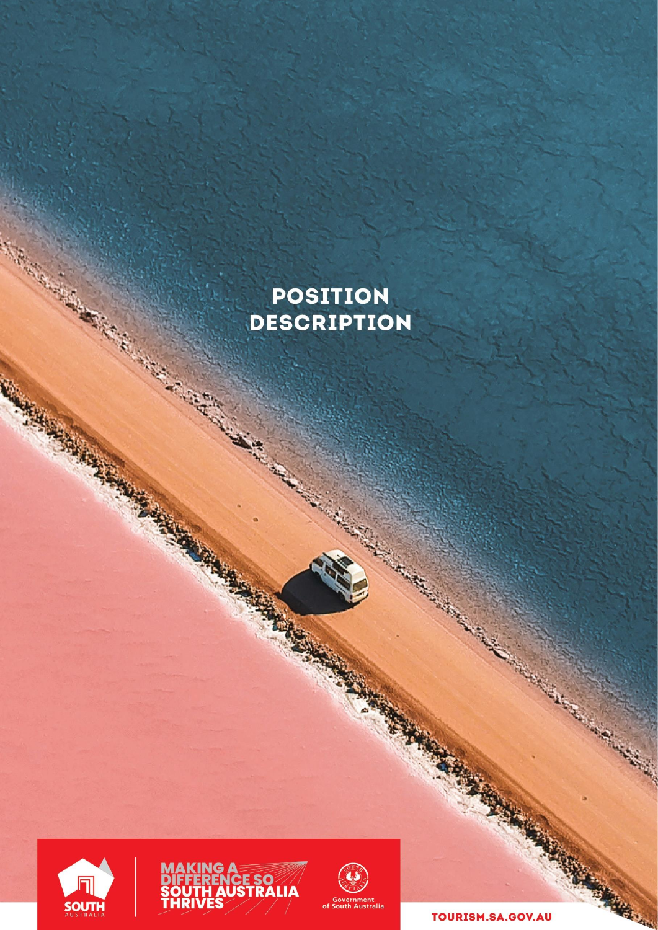## **POSITION DESCRIPTION**







TOURISM.SA.GOV.AU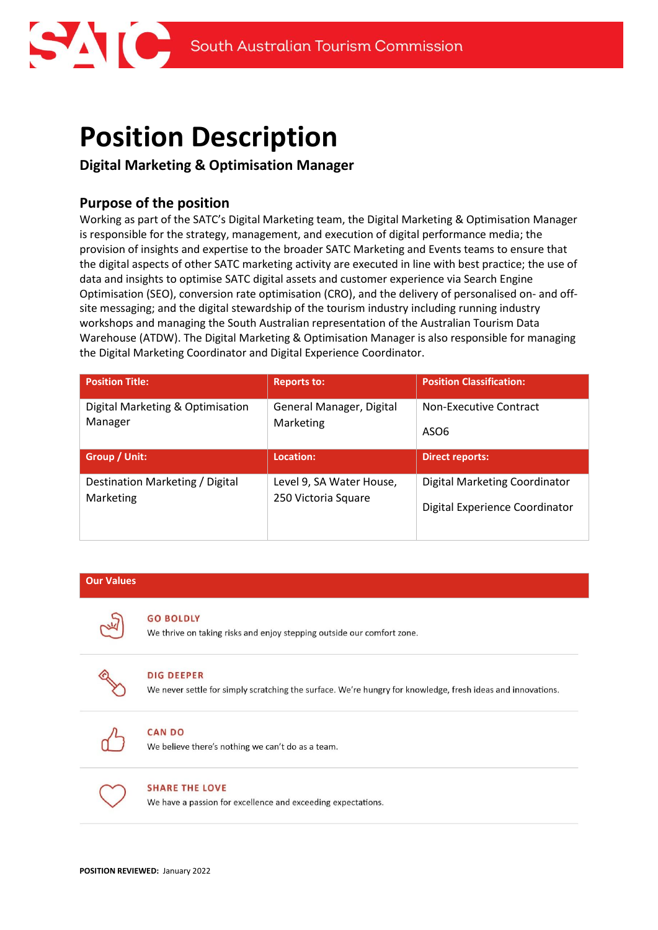# **Position Description**

### **Digital Marketing & Optimisation Manager**

### **Purpose of the position**

Working as part of the SATC's Digital Marketing team, the Digital Marketing & Optimisation Manager is responsible for the strategy, management, and execution of digital performance media; the provision of insights and expertise to the broader SATC Marketing and Events teams to ensure that the digital aspects of other SATC marketing activity are executed in line with best practice; the use of data and insights to optimise SATC digital assets and customer experience via Search Engine Optimisation (SEO), conversion rate optimisation (CRO), and the delivery of personalised on- and offsite messaging; and the digital stewardship of the tourism industry including running industry workshops and managing the South Australian representation of the Australian Tourism Data Warehouse (ATDW). The Digital Marketing & Optimisation Manager is also responsible for managing the Digital Marketing Coordinator and Digital Experience Coordinator.

| <b>Position Title:</b>                      | <b>Reports to:</b>                    | <b>Position Classification:</b>                   |
|---------------------------------------------|---------------------------------------|---------------------------------------------------|
| Digital Marketing & Optimisation<br>Manager | General Manager, Digital<br>Marketing | <b>Non-Executive Contract</b><br>ASO <sub>6</sub> |
| Group / Unit:                               | Location:                             | <b>Direct reports:</b>                            |
| Destination Marketing / Digital             |                                       |                                                   |

### **Our Values**

#### **GO BOLDLY**

We thrive on taking risks and enjoy stepping outside our comfort zone.



#### **DIG DEEPER**

We never settle for simply scratching the surface. We're hungry for knowledge, fresh ideas and innovations.



### **CAN DO**

We believe there's nothing we can't do as a team.



### **SHARE THE LOVE**

We have a passion for excellence and exceeding expectations.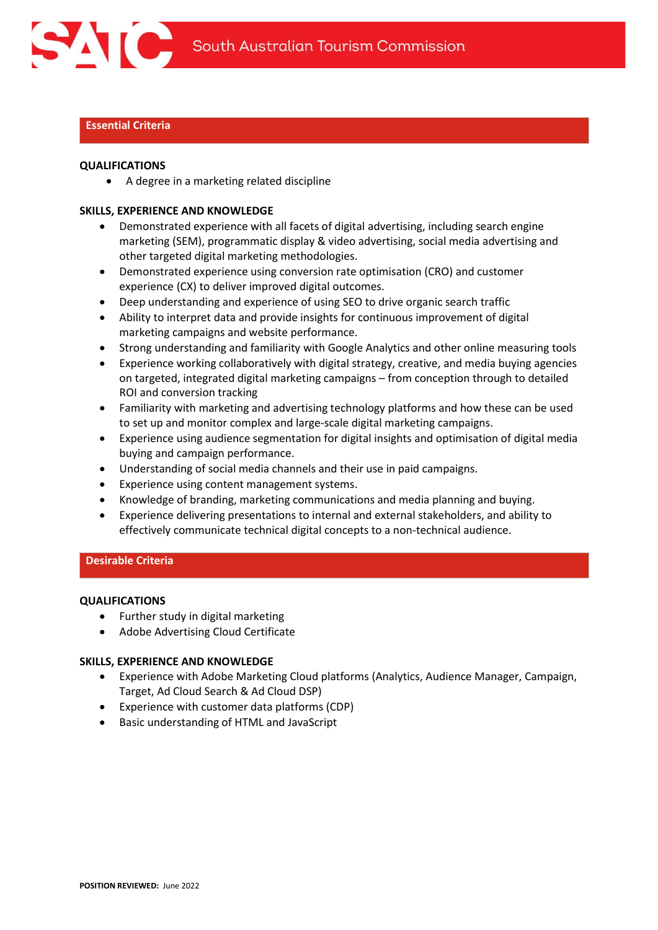

### **Essential Criteria**

#### **QUALIFICATIONS**

• A degree in a marketing related discipline

#### **SKILLS, EXPERIENCE AND KNOWLEDGE**

- Demonstrated experience with all facets of digital advertising, including search engine marketing (SEM), programmatic display & video advertising, social media advertising and other targeted digital marketing methodologies.
- Demonstrated experience using conversion rate optimisation (CRO) and customer experience (CX) to deliver improved digital outcomes.
- Deep understanding and experience of using SEO to drive organic search traffic
- Ability to interpret data and provide insights for continuous improvement of digital marketing campaigns and website performance.
- Strong understanding and familiarity with Google Analytics and other online measuring tools
- Experience working collaboratively with digital strategy, creative, and media buying agencies on targeted, integrated digital marketing campaigns – from conception through to detailed ROI and conversion tracking
- Familiarity with marketing and advertising technology platforms and how these can be used to set up and monitor complex and large-scale digital marketing campaigns.
- Experience using audience segmentation for digital insights and optimisation of digital media buying and campaign performance.
- Understanding of social media channels and their use in paid campaigns.
- Experience using content management systems.
- Knowledge of branding, marketing communications and media planning and buying.
- Experience delivering presentations to internal and external stakeholders, and ability to effectively communicate technical digital concepts to a non-technical audience.

### **Desirable Criteria**

#### **QUALIFICATIONS**

- Further study in digital marketing
- Adobe Advertising Cloud Certificate

### **SKILLS, EXPERIENCE AND KNOWLEDGE**

- Experience with Adobe Marketing Cloud platforms (Analytics, Audience Manager, Campaign, Target, Ad Cloud Search & Ad Cloud DSP)
- Experience with customer data platforms (CDP)
- Basic understanding of HTML and JavaScript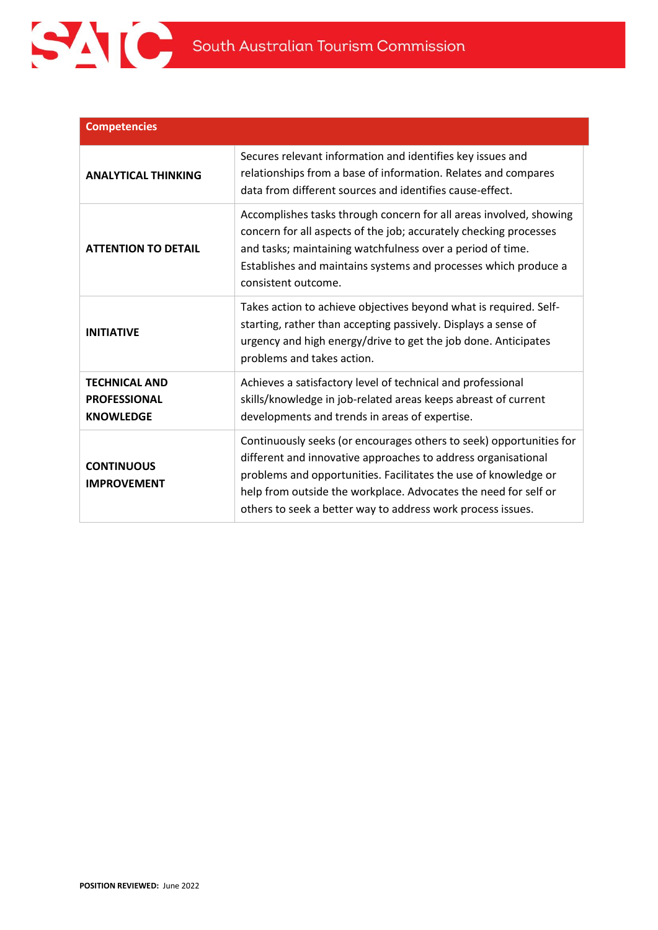

| <b>Competencies</b>                                             |                                                                                                                                                                                                                                                                                                                                           |
|-----------------------------------------------------------------|-------------------------------------------------------------------------------------------------------------------------------------------------------------------------------------------------------------------------------------------------------------------------------------------------------------------------------------------|
| <b>ANALYTICAL THINKING</b>                                      | Secures relevant information and identifies key issues and<br>relationships from a base of information. Relates and compares<br>data from different sources and identifies cause-effect.                                                                                                                                                  |
| <b>ATTENTION TO DETAIL</b>                                      | Accomplishes tasks through concern for all areas involved, showing<br>concern for all aspects of the job; accurately checking processes<br>and tasks; maintaining watchfulness over a period of time.<br>Establishes and maintains systems and processes which produce a<br>consistent outcome.                                           |
| <b>INITIATIVE</b>                                               | Takes action to achieve objectives beyond what is required. Self-<br>starting, rather than accepting passively. Displays a sense of<br>urgency and high energy/drive to get the job done. Anticipates<br>problems and takes action.                                                                                                       |
| <b>TECHNICAL AND</b><br><b>PROFESSIONAL</b><br><b>KNOWLEDGE</b> | Achieves a satisfactory level of technical and professional<br>skills/knowledge in job-related areas keeps abreast of current<br>developments and trends in areas of expertise.                                                                                                                                                           |
| <b>CONTINUOUS</b><br><b>IMPROVEMENT</b>                         | Continuously seeks (or encourages others to seek) opportunities for<br>different and innovative approaches to address organisational<br>problems and opportunities. Facilitates the use of knowledge or<br>help from outside the workplace. Advocates the need for self or<br>others to seek a better way to address work process issues. |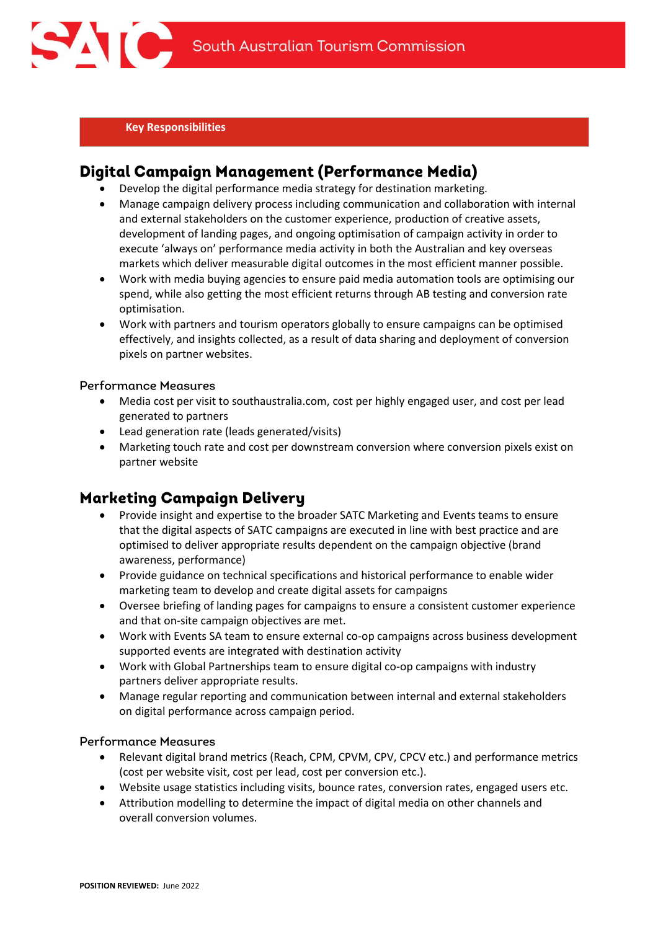

**Key Responsibilities**

### Digital Campaign Management (Performance Media)

- Develop the digital performance media strategy for destination marketing.
- Manage campaign delivery process including communication and collaboration with internal and external stakeholders on the customer experience, production of creative assets, development of landing pages, and ongoing optimisation of campaign activity in order to execute 'always on' performance media activity in both the Australian and key overseas markets which deliver measurable digital outcomes in the most efficient manner possible.
- Work with media buying agencies to ensure paid media automation tools are optimising our spend, while also getting the most efficient returns through AB testing and conversion rate optimisation.
- Work with partners and tourism operators globally to ensure campaigns can be optimised effectively, and insights collected, as a result of data sharing and deployment of conversion pixels on partner websites.

### **Performance Measures**

- Media cost per visit to southaustralia.com, cost per highly engaged user, and cost per lead generated to partners
- Lead generation rate (leads generated/visits)
- Marketing touch rate and cost per downstream conversion where conversion pixels exist on partner website

### **Marketing Campaign Delivery**

- Provide insight and expertise to the broader SATC Marketing and Events teams to ensure that the digital aspects of SATC campaigns are executed in line with best practice and are optimised to deliver appropriate results dependent on the campaign objective (brand awareness, performance)
- Provide guidance on technical specifications and historical performance to enable wider marketing team to develop and create digital assets for campaigns
- Oversee briefing of landing pages for campaigns to ensure a consistent customer experience and that on-site campaign objectives are met.
- Work with Events SA team to ensure external co-op campaigns across business development supported events are integrated with destination activity
- Work with Global Partnerships team to ensure digital co-op campaigns with industry partners deliver appropriate results.
- Manage regular reporting and communication between internal and external stakeholders on digital performance across campaign period.

### **Performance Measures**

- Relevant digital brand metrics (Reach, CPM, CPVM, CPV, CPCV etc.) and performance metrics (cost per website visit, cost per lead, cost per conversion etc.).
- Website usage statistics including visits, bounce rates, conversion rates, engaged users etc.
- Attribution modelling to determine the impact of digital media on other channels and overall conversion volumes.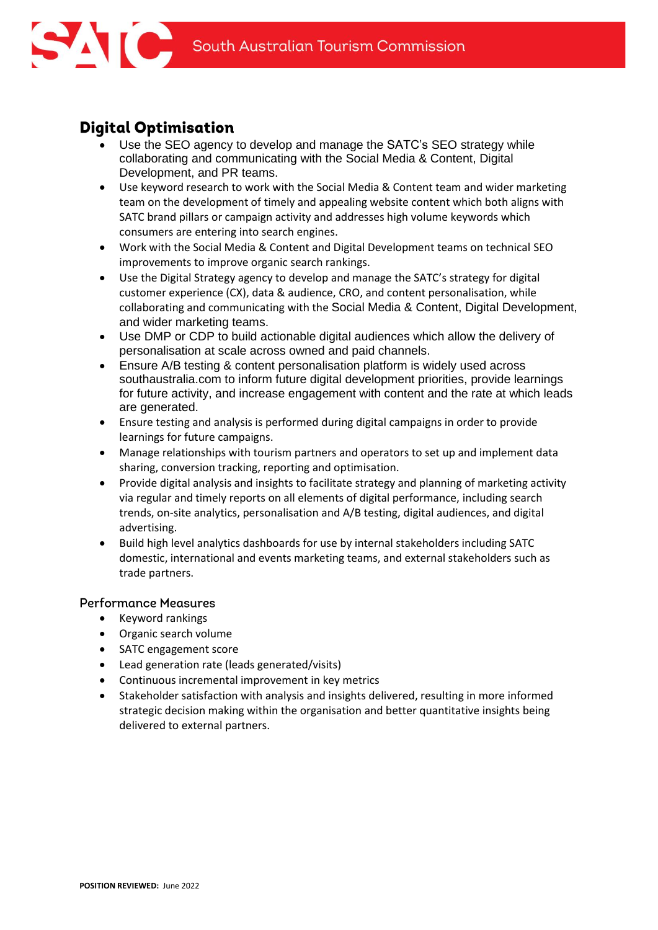

## **Digital Optimisation**

- Use the SEO agency to develop and manage the SATC's SEO strategy while collaborating and communicating with the Social Media & Content, Digital Development, and PR teams.
- Use keyword research to work with the Social Media & Content team and wider marketing team on the development of timely and appealing website content which both aligns with SATC brand pillars or campaign activity and addresses high volume keywords which consumers are entering into search engines.
- Work with the Social Media & Content and Digital Development teams on technical SEO improvements to improve organic search rankings.
- Use the Digital Strategy agency to develop and manage the SATC's strategy for digital customer experience (CX), data & audience, CRO, and content personalisation, while collaborating and communicating with the Social Media & Content, Digital Development, and wider marketing teams.
- Use DMP or CDP to build actionable digital audiences which allow the delivery of personalisation at scale across owned and paid channels.
- Ensure A/B testing & content personalisation platform is widely used across southaustralia.com to inform future digital development priorities, provide learnings for future activity, and increase engagement with content and the rate at which leads are generated.
- Ensure testing and analysis is performed during digital campaigns in order to provide learnings for future campaigns.
- Manage relationships with tourism partners and operators to set up and implement data sharing, conversion tracking, reporting and optimisation.
- Provide digital analysis and insights to facilitate strategy and planning of marketing activity via regular and timely reports on all elements of digital performance, including search trends, on-site analytics, personalisation and A/B testing, digital audiences, and digital advertising.
- Build high level analytics dashboards for use by internal stakeholders including SATC domestic, international and events marketing teams, and external stakeholders such as trade partners.

### **Performance Measures**

- Keyword rankings
- Organic search volume
- SATC engagement score
- Lead generation rate (leads generated/visits)
- Continuous incremental improvement in key metrics
- Stakeholder satisfaction with analysis and insights delivered, resulting in more informed strategic decision making within the organisation and better quantitative insights being delivered to external partners.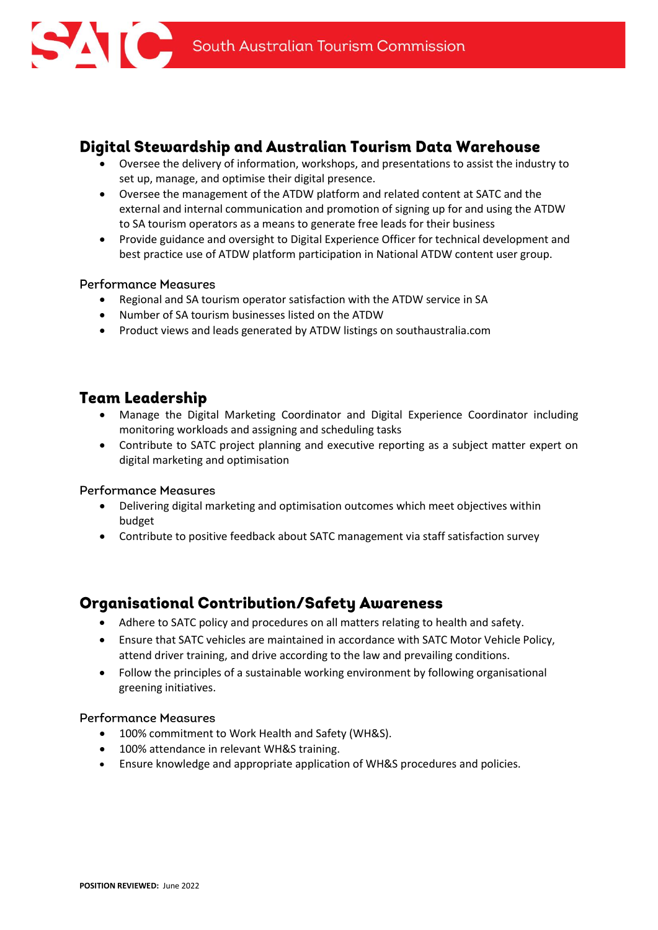

### Digital Stewardship and Australian Tourism Data Warehouse

- Oversee the delivery of information, workshops, and presentations to assist the industry to set up, manage, and optimise their digital presence.
- Oversee the management of the ATDW platform and related content at SATC and the external and internal communication and promotion of signing up for and using the ATDW to SA tourism operators as a means to generate free leads for their business
- Provide guidance and oversight to Digital Experience Officer for technical development and best practice use of ATDW platform participation in National ATDW content user group.

### **Performance Measures**

- Regional and SA tourism operator satisfaction with the ATDW service in SA
- Number of SA tourism businesses listed on the ATDW
- Product views and leads generated by ATDW listings on southaustralia.com

### **Team Leadership**

- Manage the Digital Marketing Coordinator and Digital Experience Coordinator including monitoring workloads and assigning and scheduling tasks
- Contribute to SATC project planning and executive reporting as a subject matter expert on digital marketing and optimisation

### **Performance Measures**

- Delivering digital marketing and optimisation outcomes which meet objectives within budget
- Contribute to positive feedback about SATC management via staff satisfaction survey

### **Organisational Contribution/Safety Awareness**

- Adhere to SATC policy and procedures on all matters relating to health and safety.
- Ensure that SATC vehicles are maintained in accordance with SATC Motor Vehicle Policy, attend driver training, and drive according to the law and prevailing conditions.
- Follow the principles of a sustainable working environment by following organisational greening initiatives.

### **Performance Measures**

- 100% commitment to Work Health and Safety (WH&S).
- 100% attendance in relevant WH&S training.
- Ensure knowledge and appropriate application of WH&S procedures and policies.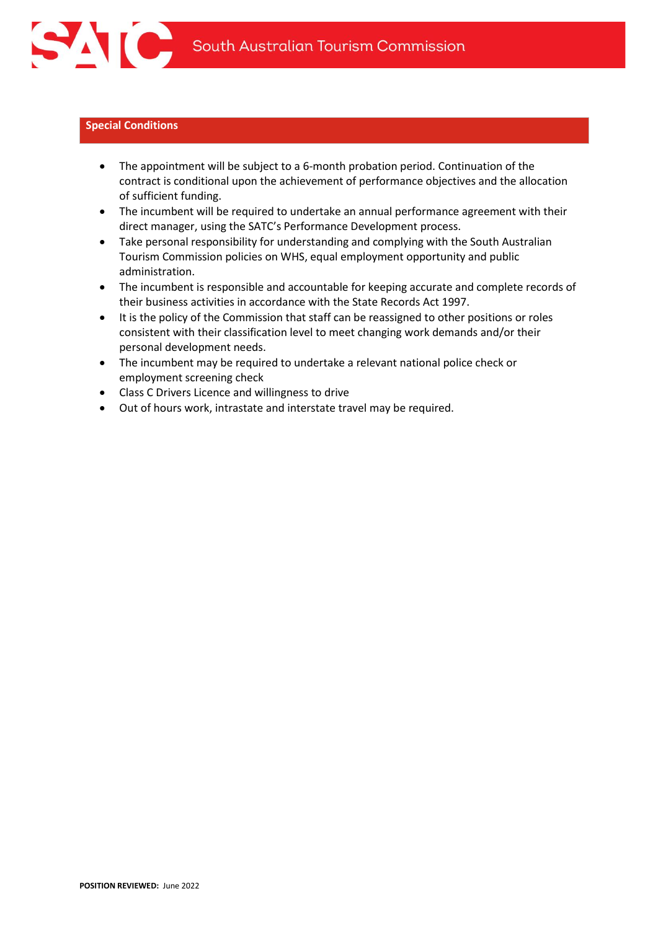

#### **Special Conditions**

- The appointment will be subject to a 6-month probation period. Continuation of the contract is conditional upon the achievement of performance objectives and the allocation of sufficient funding.
- The incumbent will be required to undertake an annual performance agreement with their direct manager, using the SATC's Performance Development process.
- Take personal responsibility for understanding and complying with the South Australian Tourism Commission policies on WHS, equal employment opportunity and public administration.
- The incumbent is responsible and accountable for keeping accurate and complete records of their business activities in accordance with the State Records Act 1997.
- It is the policy of the Commission that staff can be reassigned to other positions or roles consistent with their classification level to meet changing work demands and/or their personal development needs.
- The incumbent may be required to undertake a relevant national police check or employment screening check
- Class C Drivers Licence and willingness to drive
- Out of hours work, intrastate and interstate travel may be required.